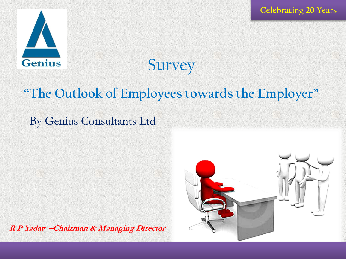**Celebrating 20 Years**



# **Survey**

# **"The Outlook of Employees towards the Employer"**

### By Genius Consultants Ltd

**R P Yadav –Chairman & Managing Director** 

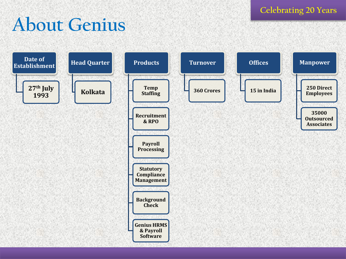**Celebrating 20 Years**

# **About Genius**

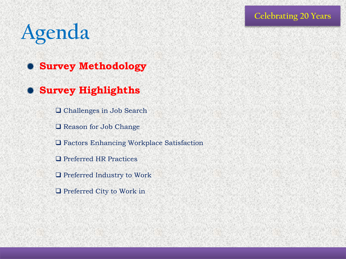# **Agenda**

- **Survey Methodology**
- **Survey Highlighths**
	- □ Challenges in Job Search
		- **□** Reason for Job Change
		- Factors Enhancing Workplace Satisfaction
		- □ Preferred HR Practices
	- □ Preferred Industry to Work
		- □ Preferred City to Work in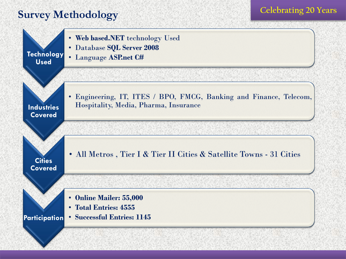#### **Survey Methodology**



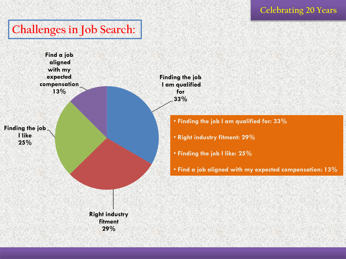### **Challenges in Job Search:**

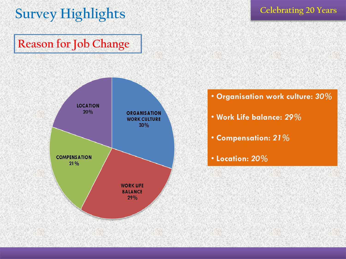# **Survey Highlights**

## **Reason for Job Change**





- **Work Life balance:** *29%*
- **Compensation:** *21%*
- **Location:** *20%*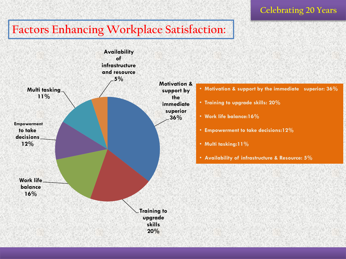#### **Factors Enhancing Workplace Satisfaction:**



**Celebrating 20 Years**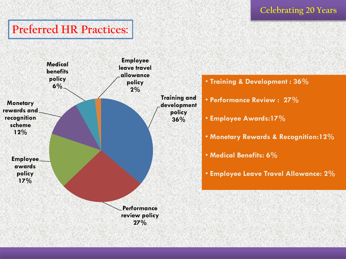#### **Celebrating 20 Years**

#### **Preferred HR Practices:**

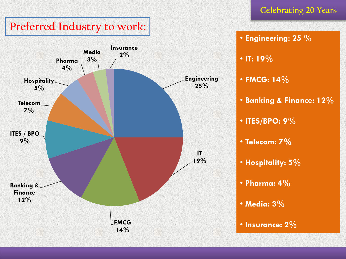## **Preferred Industry to work:**



#### **Celebrating 20 Years**

#### • **Engineering: 25 %**

- **IT: 19%**
- **FMCG: 14%**
- **Banking & Finance: 12%**
- **ITES/BPO: 9%**
- **Telecom: 7%**
- **Hospitality: 5%**
- **Pharma: 4%**
- **Media: 3%**
- **Insurance: 2%**